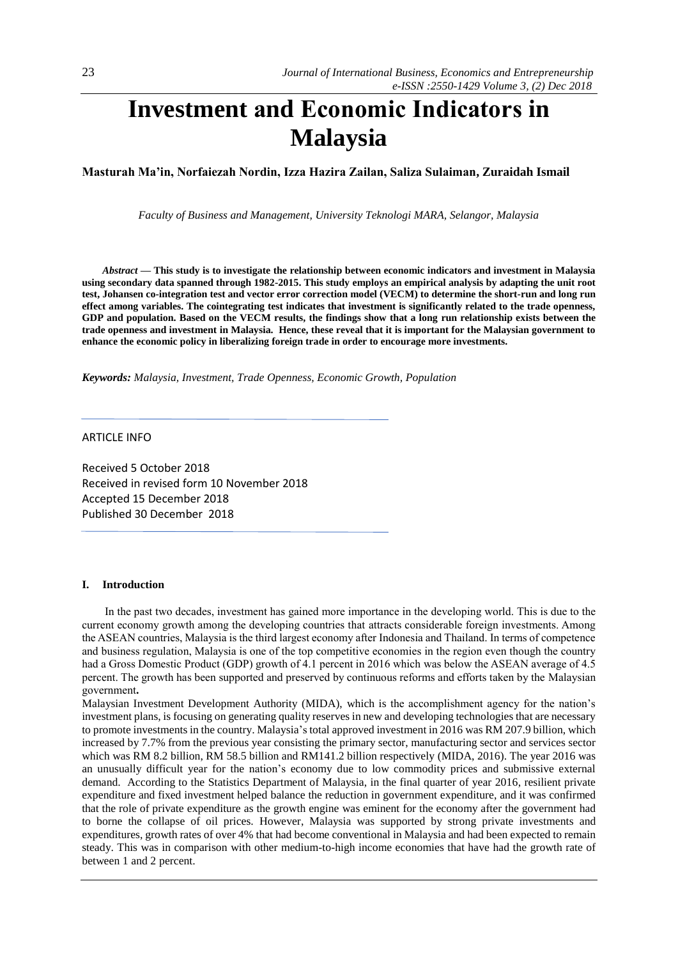# **Investment and Economic Indicators in Malaysia**

**Masturah Ma'in, Norfaiezah Nordin, Izza Hazira Zailan, Saliza Sulaiman, Zuraidah Ismail**

*Faculty of Business and Management, University Teknologi MARA, Selangor, Malaysia*

*Abstract —* **This study is to investigate the relationship between economic indicators and investment in Malaysia using secondary data spanned through 1982-2015. This study employs an empirical analysis by adapting the unit root test, Johansen co-integration test and vector error correction model (VECM) to determine the short-run and long run effect among variables. The cointegrating test indicates that investment is significantly related to the trade openness, GDP and population. Based on the VECM results, the findings show that a long run relationship exists between the trade openness and investment in Malaysia. Hence, these reveal that it is important for the Malaysian government to enhance the economic policy in liberalizing foreign trade in order to encourage more investments.**

*Keywords: Malaysia, Investment, Trade Openness, Economic Growth, Population*

ARTICLE INFO

Received 5 October 2018 Received in revised form 10 November 2018 Accepted 15 December 2018 Published 30 December 2018

## **I. Introduction**

In the past two decades, investment has gained more importance in the developing world. This is due to the current economy growth among the developing countries that attracts considerable foreign investments. Among the ASEAN countries, Malaysia is the third largest economy after Indonesia and Thailand. In terms of competence and business regulation, Malaysia is one of the top competitive economies in the region even though the country had a Gross Domestic Product (GDP) growth of 4.1 percent in 2016 which was below the ASEAN average of 4.5 percent. The growth has been supported and preserved by continuous reforms and efforts taken by the Malaysian government**.**

Malaysian Investment Development Authority (MIDA), which is the accomplishment agency for the nation's investment plans, is focusing on generating quality reserves in new and developing technologies that are necessary to promote investments in the country. Malaysia's total approved investment in 2016 was RM 207.9 billion, which increased by 7.7% from the previous year consisting the primary sector, manufacturing sector and services sector which was RM 8.2 billion, RM 58.5 billion and RM141.2 billion respectively (MIDA, 2016). The year 2016 was an unusually difficult year for the nation's economy due to low commodity prices and submissive external demand. According to the Statistics Department of Malaysia, in the final quarter of year 2016, resilient private expenditure and fixed investment helped balance the reduction in government expenditure, and it was confirmed that the role of private expenditure as the growth engine was eminent for the economy after the government had to borne the collapse of oil prices. However, Malaysia was supported by strong private investments and expenditures, growth rates of over 4% that had become conventional in Malaysia and had been expected to remain steady. This was in comparison with other medium-to-high income economies that have had the growth rate of between 1 and 2 percent.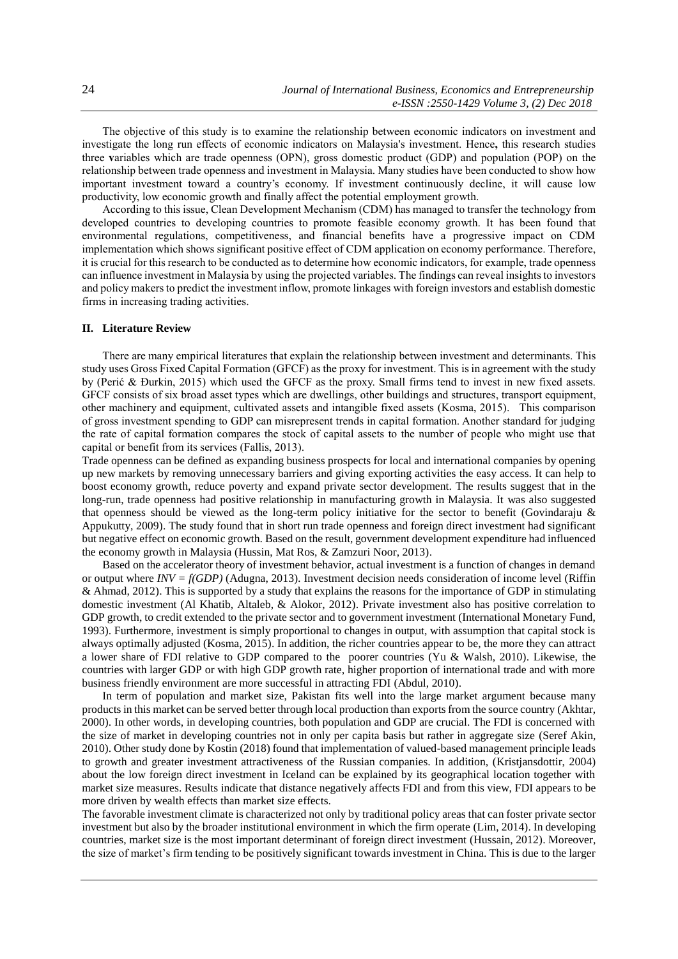The objective of this study is to examine the relationship between economic indicators on investment and investigate the long run effects of economic indicators on Malaysia's investment. Hence**,** this research studies three **v**ariables which are trade openness (OPN), gross domestic product (GDP) and population (POP) on the relationship between trade openness and investment in Malaysia. Many studies have been conducted to show how important investment toward a country's economy. If investment continuously decline, it will cause low productivity, low economic growth and finally affect the potential employment growth.

According to this issue, Clean Development Mechanism (CDM) has managed to transfer the technology from developed countries to developing countries to promote feasible economy growth. It has been found that environmental regulations, competitiveness, and financial benefits have a progressive impact on CDM implementation which shows significant positive effect of CDM application on economy performance. Therefore, it is crucial for this research to be conducted as to determine how economic indicators, for example, trade openness can influence investment in Malaysia by using the projected variables. The findings can reveal insights to investors and policy makersto predict the investment inflow, promote linkages with foreign investors and establish domestic firms in increasing trading activities.

## **II. Literature Review**

There are many empirical literatures that explain the relationship between investment and determinants. This study uses Gross Fixed Capital Formation (GFCF) as the proxy for investment. This is in agreement with the study by (Perić & Đurkin, 2015) which used the GFCF as the proxy. Small firms tend to invest in new fixed assets. GFCF consists of six broad asset types which are dwellings, other buildings and structures, transport equipment, other machinery and equipment, cultivated assets and intangible fixed assets (Kosma, 2015). This comparison of gross investment spending to GDP can misrepresent trends in capital formation. Another standard for judging the rate of capital formation compares the stock of capital assets to the number of people who might use that capital or benefit from its services (Fallis, 2013).

Trade openness can be defined as expanding business prospects for local and international companies by opening up new markets by removing unnecessary barriers and giving exporting activities the easy access. It can help to boost economy growth, reduce poverty and expand private sector development. The results suggest that in the long-run, trade openness had positive relationship in manufacturing growth in Malaysia. It was also suggested that openness should be viewed as the long-term policy initiative for the sector to benefit (Govindaraju & Appukutty, 2009). The study found that in short run trade openness and foreign direct investment had significant but negative effect on economic growth. Based on the result, government development expenditure had influenced the economy growth in Malaysia (Hussin, Mat Ros, & Zamzuri Noor, 2013).

Based on the accelerator theory of investment behavior, actual investment is a function of changes in demand or output where *INV = f(GDP)* (Adugna, 2013)*.* Investment decision needs consideration of income level (Riffin & Ahmad, 2012). This is supported by a study that explains the reasons for the importance of GDP in stimulating domestic investment (Al Khatib, Altaleb, & Alokor, 2012). Private investment also has positive correlation to GDP growth, to credit extended to the private sector and to government investment (International Monetary Fund, 1993). Furthermore, investment is simply proportional to changes in output, with assumption that capital stock is always optimally adjusted (Kosma, 2015). In addition, the richer countries appear to be, the more they can attract a lower share of FDI relative to GDP compared to the poorer countries (Yu & Walsh, 2010). Likewise, the countries with larger GDP or with high GDP growth rate, higher proportion of international trade and with more business friendly environment are more successful in attracting FDI (Abdul, 2010).

In term of population and market size, Pakistan fits well into the large market argument because many products in this market can be served better through local production than exports from the source country (Akhtar, 2000). In other words, in developing countries, both population and GDP are crucial. The FDI is concerned with the size of market in developing countries not in only per capita basis but rather in aggregate size (Seref Akin, 2010). Other study done by Kostin (2018) found that implementation of valued-based management principle leads to growth and greater investment attractiveness of the Russian companies. In addition, (Kristjansdottir, 2004) about the low foreign direct investment in Iceland can be explained by its geographical location together with market size measures. Results indicate that distance negatively affects FDI and from this view, FDI appears to be more driven by wealth effects than market size effects.

The favorable investment climate is characterized not only by traditional policy areas that can foster private sector investment but also by the broader institutional environment in which the firm operate (Lim, 2014). In developing countries, market size is the most important determinant of foreign direct investment (Hussain, 2012). Moreover, the size of market's firm tending to be positively significant towards investment in China. This is due to the larger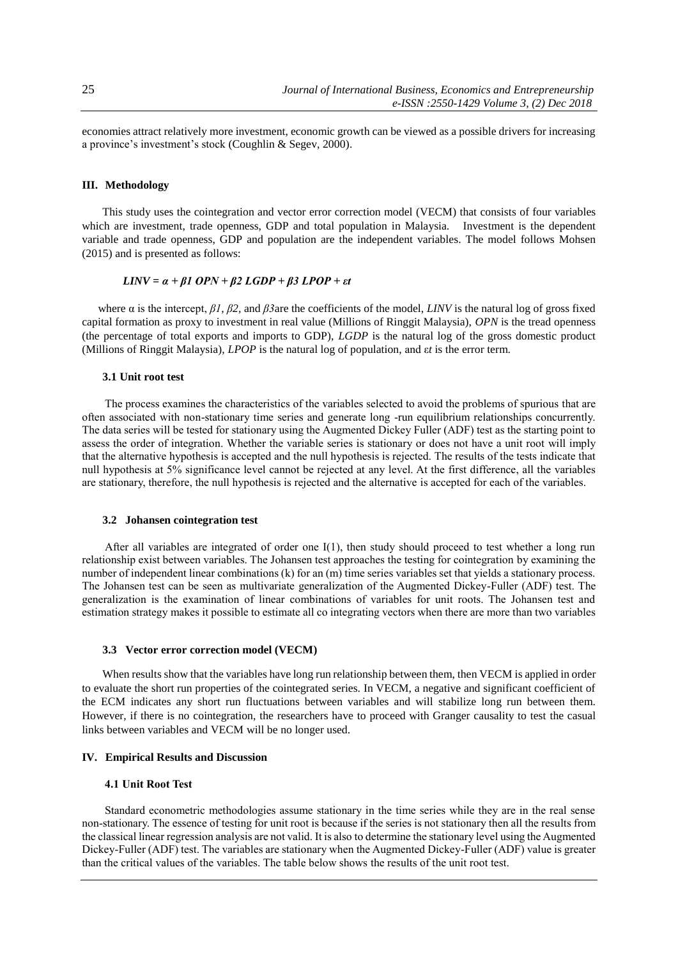economies attract relatively more investment, economic growth can be viewed as a possible drivers for increasing a province's investment's stock (Coughlin & Segev, 2000).

## **III. Methodology**

This study uses the cointegration and vector error correction model (VECM) that consists of four variables which are investment, trade openness, GDP and total population in Malaysia. Investment is the dependent variable and trade openness, GDP and population are the independent variables. The model follows Mohsen (2015) and is presented as follows:

$$
LINV = \alpha + \beta 1 \; OPN + \beta 2 \; LGDP + \beta 3 \; LPOP + \varepsilon t
$$

where α is the intercept, *β1*, *β2,* and *β3*are the coefficients of the model, *LINV* is the natural log of gross fixed capital formation as proxy to investment in real value (Millions of Ringgit Malaysia), *OPN* is the tread openness (the percentage of total exports and imports to GDP), *LGDP* is the natural log of the gross domestic product (Millions of Ringgit Malaysia), *LPOP* is the natural log of population, and ε*t* is the error term.

## **3.1 Unit root test**

The process examines the characteristics of the variables selected to avoid the problems of spurious that are often associated with non-stationary time series and generate long -run equilibrium relationships concurrently. The data series will be tested for stationary using the Augmented Dickey Fuller (ADF) test as the starting point to assess the order of integration. Whether the variable series is stationary or does not have a unit root will imply that the alternative hypothesis is accepted and the null hypothesis is rejected. The results of the tests indicate that null hypothesis at 5% significance level cannot be rejected at any level. At the first difference, all the variables are stationary, therefore, the null hypothesis is rejected and the alternative is accepted for each of the variables.

#### **3.2 Johansen cointegration test**

After all variables are integrated of order one I(1), then study should proceed to test whether a long run relationship exist between variables. The Johansen test approaches the testing for cointegration by examining the number of independent linear combinations (k) for an (m) time series variables set that yields a stationary process. The Johansen test can be seen as multivariate generalization of the Augmented Dickey-Fuller (ADF) test. The generalization is the examination of linear combinations of variables for unit roots. The Johansen test and estimation strategy makes it possible to estimate all co integrating vectors when there are more than two variables

#### **3.3 Vector error correction model (VECM)**

When results show that the variables have long run relationship between them, then VECM is applied in order to evaluate the short run properties of the cointegrated series. In VECM, a negative and significant coefficient of the ECM indicates any short run fluctuations between variables and will stabilize long run between them. However, if there is no cointegration, the researchers have to proceed with Granger causality to test the casual links between variables and VECM will be no longer used.

## **IV. Empirical Results and Discussion**

# **4.1 Unit Root Test**

Standard econometric methodologies assume stationary in the time series while they are in the real sense non-stationary. The essence of testing for unit root is because if the series is not stationary then all the results from the classical linear regression analysis are not valid. It is also to determine the stationary level using the Augmented Dickey-Fuller (ADF) test. The variables are stationary when the Augmented Dickey-Fuller (ADF) value is greater than the critical values of the variables. The table below shows the results of the unit root test.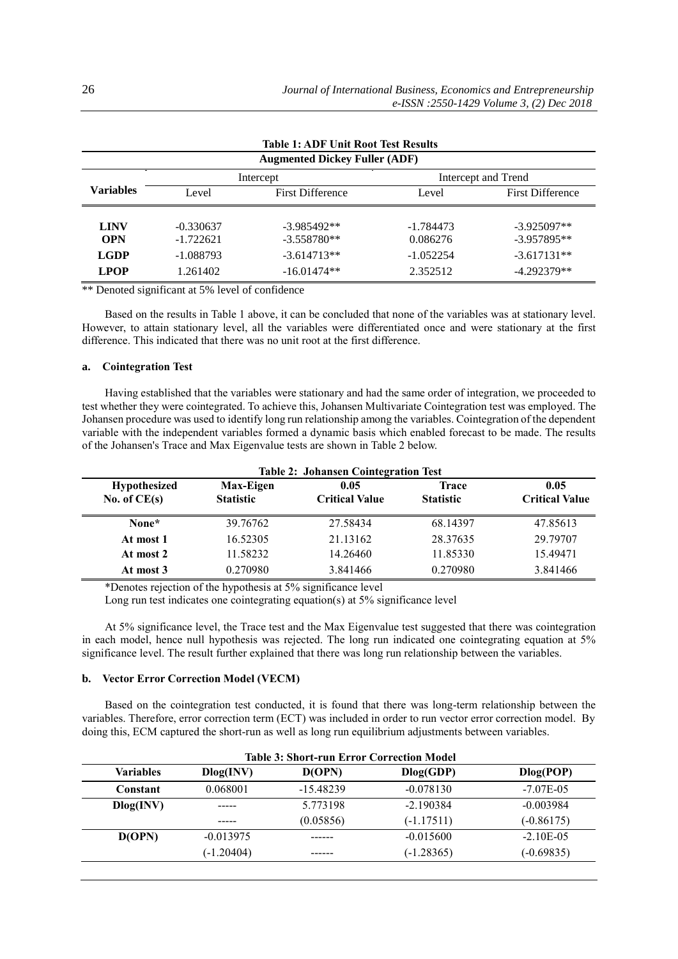| <b>Table 1: ADF Unit Root Test Results</b> |             |                         |                     |                         |  |  |
|--------------------------------------------|-------------|-------------------------|---------------------|-------------------------|--|--|
| <b>Augmented Dickey Fuller (ADF)</b>       |             |                         |                     |                         |  |  |
|                                            | Intercept   |                         | Intercept and Trend |                         |  |  |
| <b>Variables</b>                           | Level       | <b>First Difference</b> | Level               | <b>First Difference</b> |  |  |
|                                            |             |                         |                     |                         |  |  |
| <b>LINV</b>                                | $-0.330637$ | $-3.985492**$           | $-1.784473$         | $-3.925097**$           |  |  |
| <b>OPN</b>                                 | $-1.722621$ | $-3.558780**$           | 0.086276            | $-3.957895**$           |  |  |
| <b>LGDP</b>                                | $-1.088793$ | $-3.614713**$           | $-1.052254$         | $-3.617131**$           |  |  |
| <b>LPOP</b>                                | 1.261402    | $-16.01474**$           | 2.352512            | $-4.292379**$           |  |  |

\*\* Denoted significant at 5% level of confidence

Based on the results in Table 1 above, it can be concluded that none of the variables was at stationary level. However, to attain stationary level, all the variables were differentiated once and were stationary at the first difference. This indicated that there was no unit root at the first difference.

# **a. Cointegration Test**

Having established that the variables were stationary and had the same order of integration, we proceeded to test whether they were cointegrated. To achieve this, Johansen Multivariate Cointegration test was employed. The Johansen procedure was used to identify long run relationship among the variables. Cointegration of the dependent variable with the independent variables formed a dynamic basis which enabled forecast to be made. The results of the Johansen's Trace and Max Eigenvalue tests are shown in Table 2 below.

| <b>Table 2: Johansen Cointegration Test</b> |                               |                               |                                  |                               |
|---------------------------------------------|-------------------------------|-------------------------------|----------------------------------|-------------------------------|
| <b>Hypothesized</b><br>No. of $CE(s)$       | Max-Eigen<br><b>Statistic</b> | 0.05<br><b>Critical Value</b> | <b>Trace</b><br><b>Statistic</b> | 0.05<br><b>Critical Value</b> |
| None*                                       | 39.76762                      | 27.58434                      | 68.14397                         | 47.85613                      |
| At most 1                                   | 16.52305                      | 21.13162                      | 28.37635                         | 29.79707                      |
| At most 2                                   | 11.58232                      | 14.26460                      | 11.85330                         | 15.49471                      |
| At most 3                                   | 0.270980                      | 3.841466                      | 0.270980                         | 3.841466                      |

\*Denotes rejection of the hypothesis at 5% significance level

Long run test indicates one cointegrating equation(s) at 5% significance level

At 5% significance level, the Trace test and the Max Eigenvalue test suggested that there was cointegration in each model, hence null hypothesis was rejected. The long run indicated one cointegrating equation at 5% significance level. The result further explained that there was long run relationship between the variables.

# **b. Vector Error Correction Model (VECM)**

Based on the cointegration test conducted, it is found that there was long-term relationship between the variables. Therefore, error correction term (ECT) was included in order to run vector error correction model. By doing this, ECM captured the short-run as well as long run equilibrium adjustments between variables.

| <b>Table 3: Short-run Error Correction Model</b> |              |             |              |                |
|--------------------------------------------------|--------------|-------------|--------------|----------------|
| <b>Variables</b>                                 | Dlog(INV)    | D(OPN)      | Dlog(GDP)    | Dlog(POP)      |
| Constant                                         | 0.068001     | $-15.48239$ | $-0.078130$  | $-7.07E - 0.5$ |
| Dlog(INV)                                        |              | 5.773198    | $-2.190384$  | $-0.003984$    |
|                                                  |              | (0.05856)   | $(-1.17511)$ | $(-0.86175)$   |
| D(OPN)                                           | $-0.013975$  |             | $-0.015600$  | $-2.10E - 0.5$ |
|                                                  | $(-1.20404)$ |             | $(-1.28365)$ | $(-0.69835)$   |
|                                                  |              |             |              |                |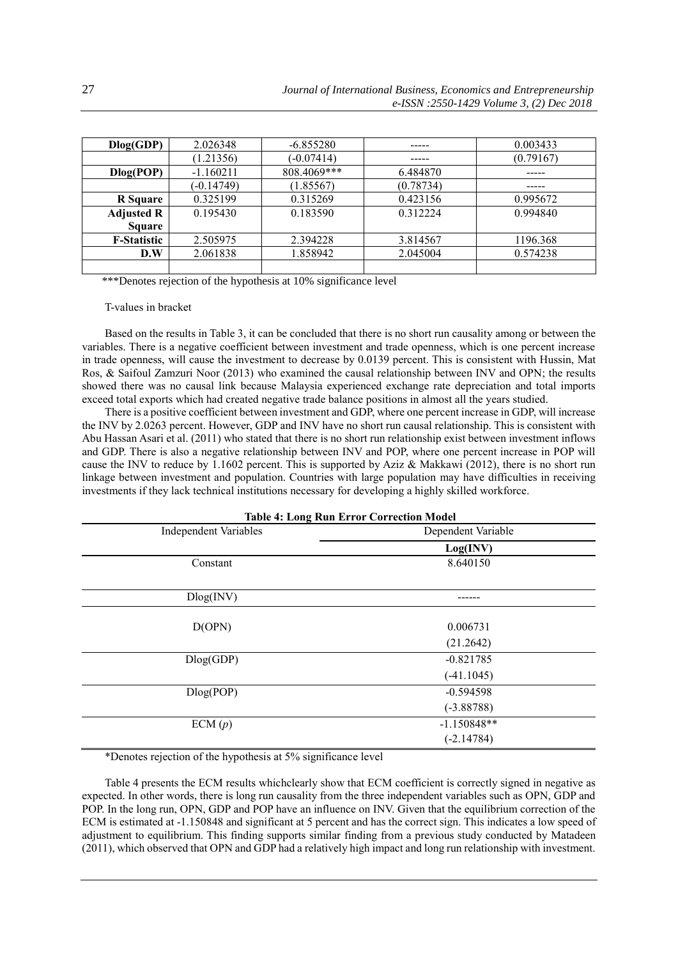| Dlog(GDP)          | 2.026348     | $-6.855280$  | -----     | 0.003433  |
|--------------------|--------------|--------------|-----------|-----------|
|                    | (1.21356)    | $(-0.07414)$ |           | (0.79167) |
| Dlog(POP)          | $-1.160211$  | 808.4069***  | 6.484870  |           |
|                    | $(-0.14749)$ | (1.85567)    | (0.78734) | -----     |
| R Square           | 0.325199     | 0.315269     | 0.423156  | 0.995672  |
| <b>Adjusted R</b>  | 0.195430     | 0.183590     | 0.312224  | 0.994840  |
| <b>Square</b>      |              |              |           |           |
| <b>F-Statistic</b> | 2.505975     | 2.394228     | 3.814567  | 1196.368  |
| D.W                | 2.061838     | 1.858942     | 2.045004  | 0.574238  |
|                    |              |              |           |           |

\*\*\*Denotes rejection of the hypothesis at 10% significance level

T-values in bracket

Based on the results in Table 3, it can be concluded that there is no short run causality among or between the variables. There is a negative coefficient between investment and trade openness, which is one percent increase in trade openness, will cause the investment to decrease by 0.0139 percent. This is consistent with Hussin, Mat Ros, & Saifoul Zamzuri Noor (2013) who examined the causal relationship between INV and OPN; the results showed there was no causal link because Malaysia experienced exchange rate depreciation and total imports exceed total exports which had created negative trade balance positions in almost all the years studied.

There is a positive coefficient between investment and GDP, where one percent increase in GDP, will increase the INV by 2.0263 percent. However, GDP and INV have no short run causal relationship. This is consistent with Abu Hassan Asari et al. (2011) who stated that there is no short run relationship exist between investment inflows and GDP. There is also a negative relationship between INV and POP, where one percent increase in POP will cause the INV to reduce by 1.1602 percent. This is supported by Aziz & Makkawi (2012), there is no short run linkage between investment and population. Countries with large population may have difficulties in receiving investments if they lack technical institutions necessary for developing a highly skilled workforce.

| <b>Table 4: Long Run Error Correction Model</b> |                    |  |  |  |
|-------------------------------------------------|--------------------|--|--|--|
| <b>Independent Variables</b>                    | Dependent Variable |  |  |  |
|                                                 | Log(INV)           |  |  |  |
| Constant                                        | 8.640150           |  |  |  |
|                                                 |                    |  |  |  |
| Dlog(INV)                                       |                    |  |  |  |
| D(OPN)                                          | 0.006731           |  |  |  |
|                                                 | (21.2642)          |  |  |  |
| Dlog(GDP)                                       | $-0.821785$        |  |  |  |
|                                                 | $(-41.1045)$       |  |  |  |
| Dlog(POP)                                       | $-0.594598$        |  |  |  |
|                                                 | $(-3.88788)$       |  |  |  |
| ECM(p)                                          | $-1.150848**$      |  |  |  |
|                                                 | $(-2.14784)$       |  |  |  |

\*Denotes rejection of the hypothesis at 5% significance level

Table 4 presents the ECM results whichclearly show that ECM coefficient is correctly signed in negative as expected. In other words, there is long run causality from the three independent variables such as OPN, GDP and POP. In the long run, OPN, GDP and POP have an influence on INV. Given that the equilibrium correction of the ECM is estimated at -1.150848 and significant at 5 percent and has the correct sign. This indicates a low speed of adjustment to equilibrium. This finding supports similar finding from a previous study conducted by Matadeen (2011), which observed that OPN and GDP had a relatively high impact and long run relationship with investment.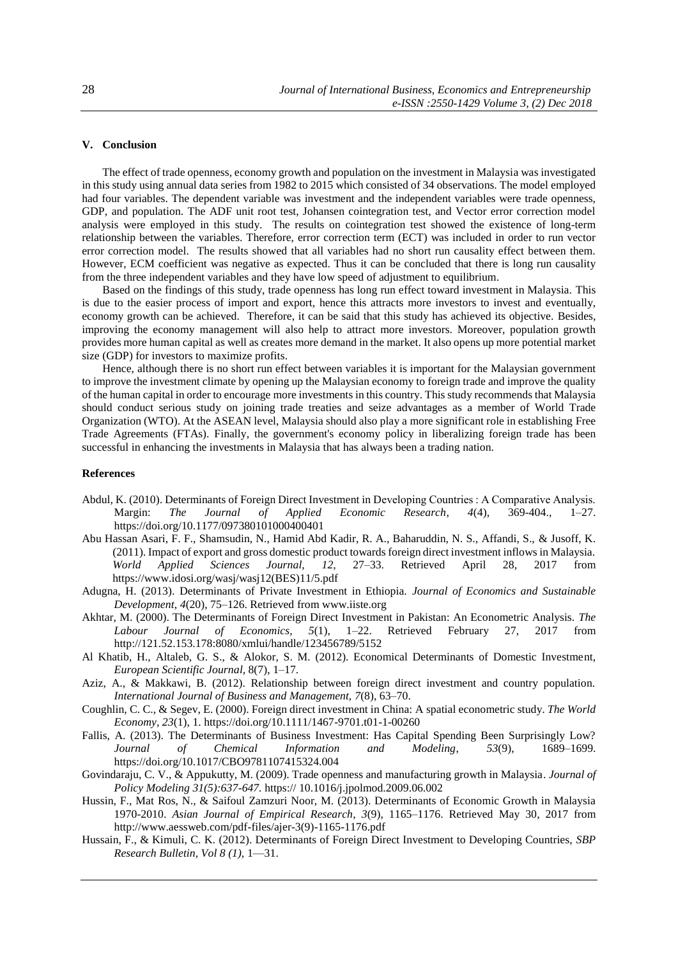# **V. Conclusion**

The effect of trade openness, economy growth and population on the investment in Malaysia was investigated in this study using annual data series from 1982 to 2015 which consisted of 34 observations. The model employed had four variables. The dependent variable was investment and the independent variables were trade openness, GDP, and population. The ADF unit root test, Johansen cointegration test, and Vector error correction model analysis were employed in this study. The results on cointegration test showed the existence of long-term relationship between the variables. Therefore, error correction term (ECT) was included in order to run vector error correction model. The results showed that all variables had no short run causality effect between them. However, ECM coefficient was negative as expected. Thus it can be concluded that there is long run causality from the three independent variables and they have low speed of adjustment to equilibrium.

Based on the findings of this study, trade openness has long run effect toward investment in Malaysia. This is due to the easier process of import and export, hence this attracts more investors to invest and eventually, economy growth can be achieved. Therefore, it can be said that this study has achieved its objective. Besides, improving the economy management will also help to attract more investors. Moreover, population growth provides more human capital as well as creates more demand in the market. It also opens up more potential market size (GDP) for investors to maximize profits.

Hence, although there is no short run effect between variables it is important for the Malaysian government to improve the investment climate by opening up the Malaysian economy to foreign trade and improve the quality of the human capital in order to encourage more investments in this country. This study recommends that Malaysia should conduct serious study on joining trade treaties and seize advantages as a member of World Trade Organization (WTO). At the ASEAN level, Malaysia should also play a more significant role in establishing Free Trade Agreements (FTAs). Finally, the government's economy policy in liberalizing foreign trade has been successful in enhancing the investments in Malaysia that has always been a trading nation.

## **References**

- Abdul, K. (2010). Determinants of Foreign Direct Investment in Developing Countries : A Comparative Analysis. Margin: *The Journal of Applied Economic Research*, *4*(4), 369-404., 1–27. https://doi.org/10.1177/097380101000400401
- Abu Hassan Asari, F. F., Shamsudin, N., Hamid Abd Kadir, R. A., Baharuddin, N. S., Affandi, S., & Jusoff, K. (2011). Impact of export and gross domestic product towards foreign direct investment inflows in Malaysia. *World Applied Sciences Journal, 12,* 27–33. Retrieved April 28, 2017 from https://www.idosi.org/wasj/wasj12(BES)11/5.pdf
- Adugna, H. (2013). Determinants of Private Investment in Ethiopia. *Journal of Economics and Sustainable Development*, *4*(20), 75–126. Retrieved from www.iiste.org
- Akhtar, M. (2000). The Determinants of Foreign Direct Investment in Pakistan: An Econometric Analysis. *The Labour Journal of Economics, 5*(1), 1–22. Retrieved February 27, 2017 from http://121.52.153.178:8080/xmlui/handle/123456789/5152
- Al Khatib, H., Altaleb, G. S., & Alokor, S. M. (2012). Economical Determinants of Domestic Investment, *European Scientific Journal,* 8(7), 1–17.
- Aziz, A., & Makkawi, B. (2012). Relationship between foreign direct investment and country population. *International Journal of Business and Management, 7*(8), 63–70.
- Coughlin, C. C., & Segev, E. (2000). Foreign direct investment in China: A spatial econometric study. *The World Economy, 23*(1), 1. https://doi.org/10.1111/1467-9701.t01-1-00260
- Fallis, A. (2013). The Determinants of Business Investment: Has Capital Spending Been Surprisingly Low? *Journal of Chemical Information and Modeling*, *53*(9), 1689–1699. https://doi.org/10.1017/CBO9781107415324.004
- Govindaraju, C. V., & Appukutty, M. (2009). Trade openness and manufacturing growth in Malaysia. *Journal of Policy Modeling 31(5):637-647.* https:// 10.1016/j.jpolmod.2009.06.002
- Hussin, F., Mat Ros, N., & Saifoul Zamzuri Noor, M. (2013). Determinants of Economic Growth in Malaysia 1970-2010. *Asian Journal of Empirical Research*, *3*(9), 1165–1176. Retrieved May 30, 2017 from http://www.aessweb.com/pdf-files/ajer-3(9)-1165-1176.pdf
- Hussain, F., & Kimuli, C. K. (2012). Determinants of Foreign Direct Investment to Developing Countries, *SBP Research Bulletin, Vol 8 (1),* 1—31.